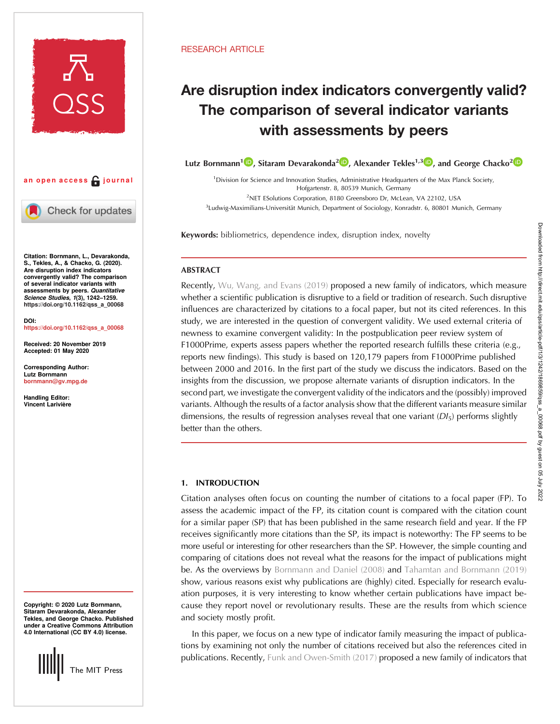

Check for updates

Citation: Bornmann, L., Devarakonda, S., Tekles, A., & Chacko, G. (2020). Are disruption index indicators convergently valid? The comparison of several indicator variants with assessments by peers. Quantitative Science Studies, 1(3), 1242–1259. [https://doi.org/10.1162/qss\\_a\\_00068](https://doi.org/10.1162/qss_a_00068)

DOI: [https://doi.org/10.1162/qss\\_a\\_00068](https://doi.org/10.1162/qss_a_00068)

Received: 20 November 2019 Accepted: 01 May 2020

Corresponding Author: Lutz Bornmann [bornmann@gv.mpg.de](mailto:bornmann@gv.mpg.de)

Handling Editor: Vincent Larivière

Copyright: © 2020 Lutz Bornmann, Sitaram Devarakonda, Alexander Tekles, and George Chacko. Published under a Creative Commons Attribution 4.0 International (CC BY 4.0) license.



# RESEARCH ARTICLE

# Are disruption index indicators convergently valid? The comparison of several indicator variants with assessments by peers

Lutz Bornmann<sup>[1](https://orcid.org/0000-0003-0810-7091)</sup><sup>1</sup>, Sitaram Devarakonda<sup>2</sup><sup>10</sup>, Alexander Tekles<sup>1,[3](https://orcid.org/0000-0001-8765-9331)</sup><sup>10</sup>, and George Chacko<sup>[2](https://orcid.org/0000-0002-2127-1892)</sup><sup>10</sup>

<sup>1</sup>Division for Science and Innovation Studies, Administrative Headquarters of the Max Planck Society, Hofgartenstr. 8, 80539 Munich, Germany <sup>2</sup>NET ESolutions Corporation, 8180 Greensboro Dr, McLean, VA 22102, USA

3 Ludwig-Maximilians-Universität Munich, Department of Sociology, Konradstr. 6, 80801 Munich, Germany

Keywords: bibliometrics, dependence index, disruption index, novelty

# **ABSTRACT**

Recently, [Wu, Wang, and Evans \(2019\)](#page-17-0) proposed a new family of indicators, which measure whether a scientific publication is disruptive to a field or tradition of research. Such disruptive influences are characterized by citations to a focal paper, but not its cited references. In this study, we are interested in the question of convergent validity. We used external criteria of newness to examine convergent validity: In the postpublication peer review system of F1000Prime, experts assess papers whether the reported research fulfills these criteria (e.g., reports new findings). This study is based on 120,179 papers from F1000Prime published between 2000 and 2016. In the first part of the study we discuss the indicators. Based on the insights from the discussion, we propose alternate variants of disruption indicators. In the second part, we investigate the convergent validity of the indicators and the (possibly) improved variants. Although the results of a factor analysis show that the different variants measure similar dimensions, the results of regression analyses reveal that one variant  $(DI_5)$  performs slightly better than the others.

# 1. INTRODUCTION

Citation analyses often focus on counting the number of citations to a focal paper (FP). To assess the academic impact of the FP, its citation count is compared with the citation count for a similar paper (SP) that has been published in the same research field and year. If the FP receives significantly more citations than the SP, its impact is noteworthy: The FP seems to be more useful or interesting for other researchers than the SP. However, the simple counting and comparing of citations does not reveal what the reasons for the impact of publications might be. As the overviews by [Bornmann and Daniel \(2008\)](#page-16-0) and [Tahamtan and Bornmann \(2019\)](#page-17-0) show, various reasons exist why publications are (highly) cited. Especially for research evaluation purposes, it is very interesting to know whether certain publications have impact because they report novel or revolutionary results. These are the results from which science and society mostly profit.

In this paper, we focus on a new type of indicator family measuring the impact of publications by examining not only the number of citations received but also the references cited in publications. Recently, [Funk and Owen-Smith \(2017\)](#page-16-0) proposed a new family of indicators that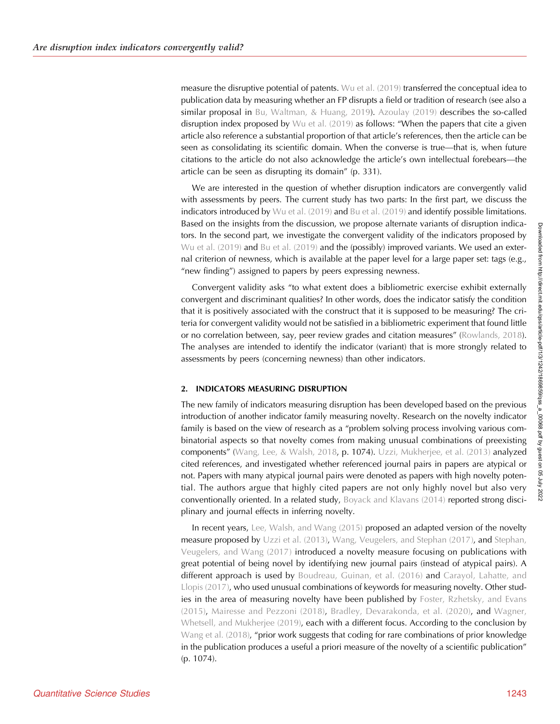measure the disruptive potential of patents. [Wu et al. \(2019\)](#page-17-0) transferred the conceptual idea to publication data by measuring whether an FP disrupts a field or tradition of research (see also a similar proposal in [Bu, Waltman, & Huang, 2019](#page-16-0)). [Azoulay \(2019\)](#page-16-0) describes the so-called disruption index proposed by [Wu et al. \(2019\)](#page-17-0) as follows: "When the papers that cite a given article also reference a substantial proportion of that article's references, then the article can be seen as consolidating its scientific domain. When the converse is true—that is, when future citations to the article do not also acknowledge the article's own intellectual forebears—the article can be seen as disrupting its domain" (p. 331).

We are interested in the question of whether disruption indicators are convergently valid with assessments by peers. The current study has two parts: In the first part, we discuss the indicators introduced by [Wu et al. \(2019\)](#page-17-0) and [Bu et al. \(2019\)](#page-16-0) and identify possible limitations. Based on the insights from the discussion, we propose alternate variants of disruption indicators. In the second part, we investigate the convergent validity of the indicators proposed by Wu et al.  $(2019)$  and Bu et al.  $(2019)$  and the (possibly) improved variants. We used an external criterion of newness, which is available at the paper level for a large paper set: tags (e.g., "new finding") assigned to papers by peers expressing newness.

Convergent validity asks "to what extent does a bibliometric exercise exhibit externally convergent and discriminant qualities? In other words, does the indicator satisfy the condition that it is positively associated with the construct that it is supposed to be measuring? The criteria for convergent validity would not be satisfied in a bibliometric experiment that found little or no correlation between, say, peer review grades and citation measures" ([Rowlands, 2018\)](#page-17-0). The analyses are intended to identify the indicator (variant) that is more strongly related to assessments by peers (concerning newness) than other indicators.

# 2. INDICATORS MEASURING DISRUPTION

The new family of indicators measuring disruption has been developed based on the previous introduction of another indicator family measuring novelty. Research on the novelty indicator family is based on the view of research as a "problem solving process involving various combinatorial aspects so that novelty comes from making unusual combinations of preexisting components" [\(Wang, Lee, & Walsh, 2018](#page-17-0), p. 1074). [Uzzi, Mukherjee, et al. \(2013\)](#page-17-0) analyzed cited references, and investigated whether referenced journal pairs in papers are atypical or not. Papers with many atypical journal pairs were denoted as papers with high novelty potential. The authors argue that highly cited papers are not only highly novel but also very conventionally oriented. In a related study, [Boyack and Klavans \(2014\)](#page-16-0) reported strong disciplinary and journal effects in inferring novelty.

In recent years, [Lee, Walsh, and Wang \(2015\)](#page-17-0) proposed an adapted version of the novelty measure proposed by [Uzzi et al. \(2013\)](#page-17-0), [Wang, Veugelers, and Stephan \(2017\),](#page-17-0) and [Stephan,](#page-17-0) [Veugelers, and Wang \(2017\)](#page-17-0) introduced a novelty measure focusing on publications with great potential of being novel by identifying new journal pairs (instead of atypical pairs). A different approach is used by [Boudreau, Guinan, et al. \(2016\)](#page-16-0) and [Carayol, Lahatte, and](#page-16-0) [Llopis \(2017\),](#page-16-0) who used unusual combinations of keywords for measuring novelty. Other stud-ies in the area of measuring novelty have been published by [Foster, Rzhetsky, and Evans](#page-16-0) [\(2015\)](#page-16-0), [Mairesse and Pezzoni \(2018\)](#page-17-0), [Bradley, Devarakonda, et al. \(2020\),](#page-16-0) and [Wagner,](#page-17-0) [Whetsell, and Mukherjee \(2019\)](#page-17-0), each with a different focus. According to the conclusion by [Wang et al. \(2018\)](#page-17-0), "prior work suggests that coding for rare combinations of prior knowledge in the publication produces a useful a priori measure of the novelty of a scientific publication" (p. 1074).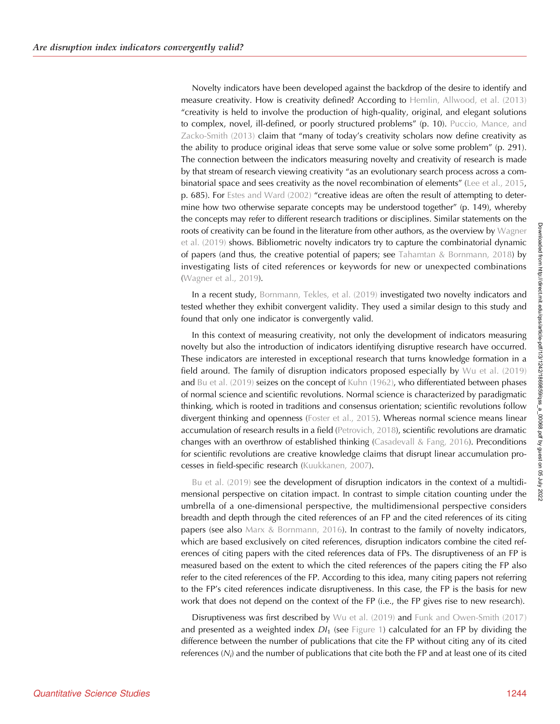Novelty indicators have been developed against the backdrop of the desire to identify and measure creativity. How is creativity defined? According to [Hemlin, Allwood, et al. \(2013\)](#page-16-0) "creativity is held to involve the production of high-quality, original, and elegant solutions to complex, novel, ill-defined, or poorly structured problems" (p. 10). [Puccio, Mance, and](#page-17-0) [Zacko-Smith \(2013\)](#page-17-0) claim that "many of today's creativity scholars now define creativity as the ability to produce original ideas that serve some value or solve some problem" (p. 291). The connection between the indicators measuring novelty and creativity of research is made by that stream of research viewing creativity "as an evolutionary search process across a combinatorial space and sees creativity as the novel recombination of elements" ([Lee et al., 2015](#page-17-0), p. 685). For [Estes and Ward \(2002\)](#page-16-0) "creative ideas are often the result of attempting to determine how two otherwise separate concepts may be understood together" (p. 149), whereby the concepts may refer to different research traditions or disciplines. Similar statements on the roots of creativity can be found in the literature from other authors, as the overview by [Wagner](#page-17-0) [et al. \(2019\)](#page-17-0) shows. Bibliometric novelty indicators try to capture the combinatorial dynamic of papers (and thus, the creative potential of papers; see [Tahamtan & Bornmann, 2018\)](#page-17-0) by investigating lists of cited references or keywords for new or unexpected combinations ([Wagner et al., 2019\)](#page-17-0).

In a recent study, [Bornmann, Tekles, et al. \(2019\)](#page-16-0) investigated two novelty indicators and tested whether they exhibit convergent validity. They used a similar design to this study and found that only one indicator is convergently valid.

In this context of measuring creativity, not only the development of indicators measuring novelty but also the introduction of indicators identifying disruptive research have occurred. These indicators are interested in exceptional research that turns knowledge formation in a field around. The family of disruption indicators proposed especially by [Wu et al. \(2019\)](#page-17-0) and [Bu et al. \(2019\)](#page-16-0) seizes on the concept of [Kuhn \(1962\),](#page-17-0) who differentiated between phases of normal science and scientific revolutions. Normal science is characterized by paradigmatic thinking, which is rooted in traditions and consensus orientation; scientific revolutions follow divergent thinking and openness ([Foster et al., 2015](#page-16-0)). Whereas normal science means linear accumulation of research results in a field [\(Petrovich, 2018](#page-17-0)), scientific revolutions are dramatic changes with an overthrow of established thinking ([Casadevall & Fang, 2016\)](#page-16-0). Preconditions for scientific revolutions are creative knowledge claims that disrupt linear accumulation processes in field-specific research ([Kuukkanen, 2007\)](#page-17-0).

[Bu et al. \(2019\)](#page-16-0) see the development of disruption indicators in the context of a multidimensional perspective on citation impact. In contrast to simple citation counting under the umbrella of a one-dimensional perspective, the multidimensional perspective considers breadth and depth through the cited references of an FP and the cited references of its citing papers (see also [Marx & Bornmann, 2016](#page-17-0)). In contrast to the family of novelty indicators, which are based exclusively on cited references, disruption indicators combine the cited references of citing papers with the cited references data of FPs. The disruptiveness of an FP is measured based on the extent to which the cited references of the papers citing the FP also refer to the cited references of the FP. According to this idea, many citing papers not referring to the FP's cited references indicate disruptiveness. In this case, the FP is the basis for new work that does not depend on the context of the FP (i.e., the FP gives rise to new research).

Disruptiveness was first described by [Wu et al. \(2019\)](#page-17-0) and [Funk and Owen-Smith \(2017\)](#page-16-0) and presented as a weighted index  $Dl_1$  (see [Figure 1](#page-3-0)) calculated for an FP by dividing the difference between the number of publications that cite the FP without citing any of its cited references (N $_{i}$ ) and the number of publications that cite both the FP and at least one of its cited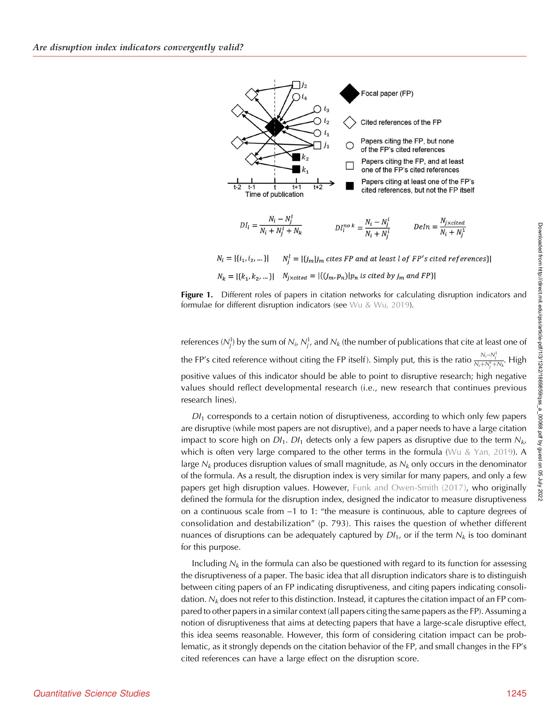<span id="page-3-0"></span>

 $N_i = |\{i_1, i_2, ...\}|$   $N_i^l = |\{j_m | j_m\}$  cites FP and at least l of FP's cited references}  $N_k = |\{k_1, k_2, ...\}|$   $N_{j \times cited} = |\{(j_m, p_n)|p_n \text{ is cited by } j_m \text{ and } FP\}|$ 

**Figure 1.** Different roles of papers in citation networks for calculating disruption indicators and formulae for different disruption indicators (see [Wu & Wu, 2019\)](#page-17-0).

references (N $^1_j$ ) by the sum of N $_{i}$ , N $^1_j$ , and N $_k$  (the number of publications that cite at least one of the FP's cited reference without citing the FP itself). Simply put, this is the ratio  $\frac{N_i-N_j^1}{N_i+N_j^1+N_k}$ . High positive values of this indicator should be able to point to disruptive research; high negative values should reflect developmental research (i.e., new research that continues previous research lines).

 $DI_1$  corresponds to a certain notion of disruptiveness, according to which only few papers are disruptive (while most papers are not disruptive), and a paper needs to have a large citation impact to score high on  $DI_1$ .  $DI_1$  detects only a few papers as disruptive due to the term  $N_k$ , which is often very large compared to the other terms in the formula ( $Wu & Yan, 2019$ ). A large  $N_k$  produces disruption values of small magnitude, as  $N_k$  only occurs in the denominator of the formula. As a result, the disruption index is very similar for many papers, and only a few papers get high disruption values. However, [Funk and Owen-Smith \(2017\)](#page-16-0), who originally defined the formula for the disruption index, designed the indicator to measure disruptiveness on a continuous scale from −1 to 1: "the measure is continuous, able to capture degrees of consolidation and destabilization" (p. 793). This raises the question of whether different nuances of disruptions can be adequately captured by  $DI_1$ , or if the term  $N_k$  is too dominant for this purpose.

Including  $N_k$  in the formula can also be questioned with regard to its function for assessing the disruptiveness of a paper. The basic idea that all disruption indicators share is to distinguish between citing papers of an FP indicating disruptiveness, and citing papers indicating consolidation.  $N_k$  does not refer to this distinction. Instead, it captures the citation impact of an FP compared to other papers in a similar context (all papers citing the same papers as the FP). Assuming a notion of disruptiveness that aims at detecting papers that have a large-scale disruptive effect, this idea seems reasonable. However, this form of considering citation impact can be problematic, as it strongly depends on the citation behavior of the FP, and small changes in the FP's cited references can have a large effect on the disruption score.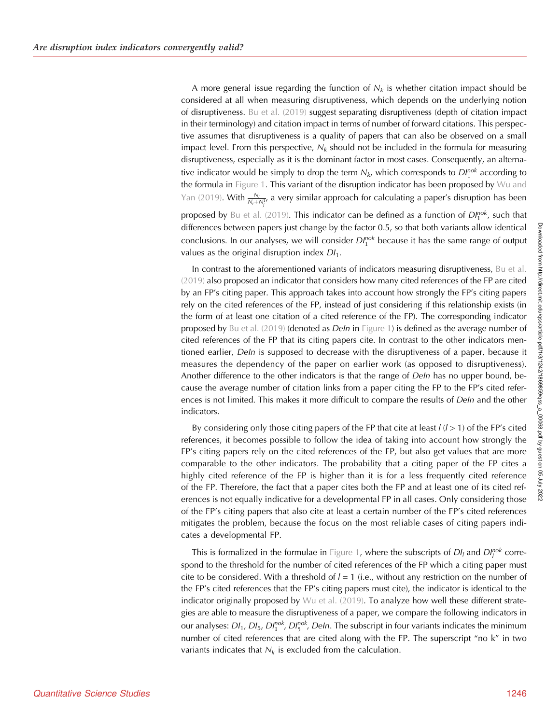A more general issue regarding the function of  $N_k$  is whether citation impact should be considered at all when measuring disruptiveness, which depends on the underlying notion of disruptiveness. [Bu et al. \(2019\)](#page-16-0) suggest separating disruptiveness (depth of citation impact in their terminology) and citation impact in terms of number of forward citations. This perspective assumes that disruptiveness is a quality of papers that can also be observed on a small impact level. From this perspective,  $N_k$  should not be included in the formula for measuring disruptiveness, especially as it is the dominant factor in most cases. Consequently, an alternative indicator would be simply to drop the term  $N_k$ , which corresponds to  $D\mathit{l}_1^{not}$  according to the formula in [Figure 1](#page-3-0). This variant of the disruption indicator has been proposed by [Wu and](#page-17-0) <code>Yan</code> (2019). With  $\frac{N_i}{N_i+N_j'}$ , a very similar approach for calculating a paper's disruption has been proposed by [Bu et al. \(2019\).](#page-16-0) This indicator can be defined as a function of  $D\mathit{l}_1^{nok}$ , such that differences between papers just change by the factor 0.5, so that both variants allow identical

conclusions. In our analyses, we will consider  $D_1^{ook}$  because it has the same range of output values as the original disruption index  $DI_1$ .

In contrast to the aforementioned variants of indicators measuring disruptiveness, [Bu et al.](#page-16-0) [\(2019\)](#page-16-0) also proposed an indicator that considers how many cited references of the FP are cited by an FP's citing paper. This approach takes into account how strongly the FP's citing papers rely on the cited references of the FP, instead of just considering if this relationship exists (in the form of at least one citation of a cited reference of the FP). The corresponding indicator proposed by [Bu et al. \(2019\)](#page-16-0) (denoted as *Deln* in [Figure 1](#page-3-0)) is defined as the average number of cited references of the FP that its citing papers cite. In contrast to the other indicators mentioned earlier, Deln is supposed to decrease with the disruptiveness of a paper, because it measures the dependency of the paper on earlier work (as opposed to disruptiveness). Another difference to the other indicators is that the range of *Deln* has no upper bound, because the average number of citation links from a paper citing the FP to the FP's cited references is not limited. This makes it more difficult to compare the results of DeIn and the other indicators.

By considering only those citing papers of the FP that cite at least  $l$  ( $l > 1$ ) of the FP's cited references, it becomes possible to follow the idea of taking into account how strongly the FP's citing papers rely on the cited references of the FP, but also get values that are more comparable to the other indicators. The probability that a citing paper of the FP cites a highly cited reference of the FP is higher than it is for a less frequently cited reference of the FP. Therefore, the fact that a paper cites both the FP and at least one of its cited references is not equally indicative for a developmental FP in all cases. Only considering those of the FP's citing papers that also cite at least a certain number of the FP's cited references mitigates the problem, because the focus on the most reliable cases of citing papers indicates a developmental FP.

This is formalized in the formulae in [Figure 1,](#page-3-0) where the subscripts of  $Dl_l$  and  $Dl_l^{nok}$  correspond to the threshold for the number of cited references of the FP which a citing paper must cite to be considered. With a threshold of  $l = 1$  (i.e., without any restriction on the number of the FP's cited references that the FP's citing papers must cite), the indicator is identical to the indicator originally proposed by [Wu et al. \(2019\).](#page-17-0) To analyze how well these different strategies are able to measure the disruptiveness of a paper, we compare the following indicators in our analyses: DI $_1$ , DI $_5$ , DI $_1^{pok}$ , DI $_5^{pck}$ , DeIn. The subscript in four variants indicates the minimum number of cited references that are cited along with the FP. The superscript "no k" in two variants indicates that  $N_k$  is excluded from the calculation.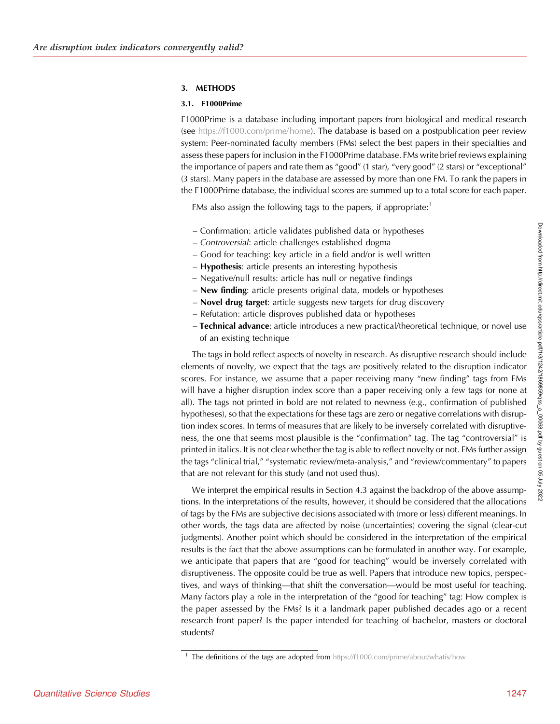#### 3. METHODS

#### 3.1. F1000Prime

F1000Prime is a database including important papers from biological and medical research (see [https://f1000.com/prime/home\)](https://f1000.com/prime/home). The database is based on a postpublication peer review system: Peer-nominated faculty members (FMs) select the best papers in their specialties and assess these papers for inclusion in the F1000Prime database. FMs write brief reviews explaining the importance of papers and rate them as "good" (1 star), "very good" (2 stars) or "exceptional" (3 stars). Many papers in the database are assessed by more than one FM. To rank the papers in the F1000Prime database, the individual scores are summed up to a total score for each paper.

FMs also assign the following tags to the papers, if appropriate:<sup>1</sup>

- Confirmation: article validates published data or hypotheses
- Controversial: article challenges established dogma
- Good for teaching: key article in a field and/or is well written
- Hypothesis: article presents an interesting hypothesis
- − Negative/null results: article has null or negative findings
- New finding: article presents original data, models or hypotheses
- Novel drug target: article suggests new targets for drug discovery
- Refutation: article disproves published data or hypotheses
- Technical advance: article introduces a new practical/theoretical technique, or novel use of an existing technique

The tags in bold reflect aspects of novelty in research. As disruptive research should include elements of novelty, we expect that the tags are positively related to the disruption indicator scores. For instance, we assume that a paper receiving many "new finding" tags from FMs will have a higher disruption index score than a paper receiving only a few tags (or none at all). The tags not printed in bold are not related to newness (e.g., confirmation of published hypotheses), so that the expectations for these tags are zero or negative correlations with disruption index scores. In terms of measures that are likely to be inversely correlated with disruptiveness, the one that seems most plausible is the "confirmation" tag. The tag "controversial" is printed in italics. It is not clear whether the tag is able to reflect novelty or not. FMs further assign the tags "clinical trial," "systematic review/meta-analysis," and "review/commentary" to papers that are not relevant for this study (and not used thus).

We interpret the empirical results in Section 4.3 against the backdrop of the above assumptions. In the interpretations of the results, however, it should be considered that the allocations of tags by the FMs are subjective decisions associated with (more or less) different meanings. In other words, the tags data are affected by noise (uncertainties) covering the signal (clear-cut judgments). Another point which should be considered in the interpretation of the empirical results is the fact that the above assumptions can be formulated in another way. For example, we anticipate that papers that are "good for teaching" would be inversely correlated with disruptiveness. The opposite could be true as well. Papers that introduce new topics, perspectives, and ways of thinking—that shift the conversation—would be most useful for teaching. Many factors play a role in the interpretation of the "good for teaching" tag: How complex is the paper assessed by the FMs? Is it a landmark paper published decades ago or a recent research front paper? Is the paper intended for teaching of bachelor, masters or doctoral students?

<sup>&</sup>lt;sup>1</sup> The definitions of the tags are adopted from <https://f1000.com/prime/about/whatis/how>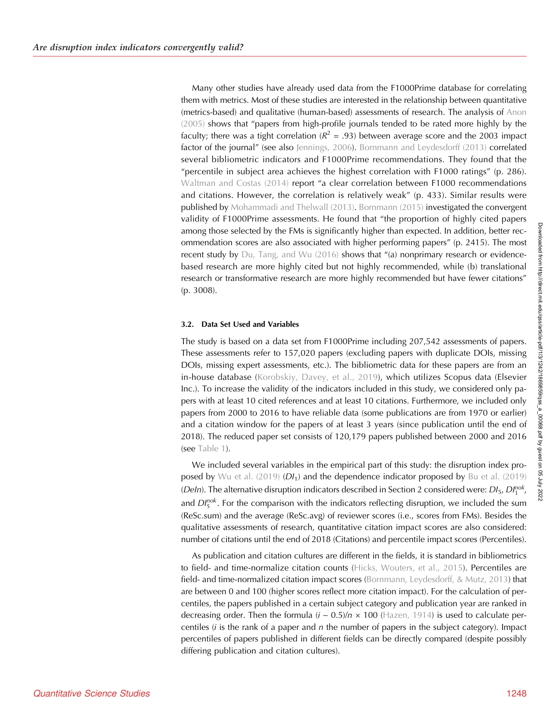Many other studies have already used data from the F1000Prime database for correlating them with metrics. Most of these studies are interested in the relationship between quantitative (metrics-based) and qualitative (human-based) assessments of research. The analysis of [Anon](#page-16-0) [\(2005\)](#page-16-0) shows that "papers from high-profile journals tended to be rated more highly by the faculty; there was a tight correlation ( $R^2$  = .93) between average score and the 2003 impact factor of the journal" (see also [Jennings, 2006\)](#page-16-0). [Bornmann and Leydesdorff \(2013\)](#page-16-0) correlated several bibliometric indicators and F1000Prime recommendations. They found that the "percentile in subject area achieves the highest correlation with F1000 ratings" (p. 286). [Waltman and Costas \(2014\)](#page-17-0) report "a clear correlation between F1000 recommendations and citations. However, the correlation is relatively weak" (p. 433). Similar results were published by [Mohammadi and Thelwall \(2013\).](#page-17-0) [Bornmann \(2015\)](#page-16-0) investigated the convergent validity of F1000Prime assessments. He found that "the proportion of highly cited papers among those selected by the FMs is significantly higher than expected. In addition, better recommendation scores are also associated with higher performing papers" (p. 2415). The most recent study by [Du, Tang, and Wu \(2016\)](#page-16-0) shows that "(a) nonprimary research or evidencebased research are more highly cited but not highly recommended, while (b) translational research or transformative research are more highly recommended but have fewer citations" (p. 3008).

#### 3.2. Data Set Used and Variables

The study is based on a data set from F1000Prime including 207,542 assessments of papers. These assessments refer to 157,020 papers (excluding papers with duplicate DOIs, missing DOIs, missing expert assessments, etc.). The bibliometric data for these papers are from an in-house database ([Korobskiy, Davey, et al., 2019](#page-16-0)), which utilizes Scopus data (Elsevier Inc.). To increase the validity of the indicators included in this study, we considered only papers with at least 10 cited references and at least 10 citations. Furthermore, we included only papers from 2000 to 2016 to have reliable data (some publications are from 1970 or earlier) and a citation window for the papers of at least 3 years (since publication until the end of 2018). The reduced paper set consists of 120,179 papers published between 2000 and 2016 (see [Table 1](#page-7-0)).

We included several variables in the empirical part of this study: the disruption index pro-posed by [Wu et al. \(2019\)](#page-17-0)  $(DI_1)$  and the dependence indicator proposed by [Bu et al. \(2019\)](#page-16-0) (DeIn). The alternative disruption indicators described in Section 2 considered were: DI<sub>5</sub>, DI $_1^{nok}$ , and  $D^{\text{rock}}_{5}$ . For the comparison with the indicators reflecting disruption, we included the sum (ReSc.sum) and the average (ReSc.avg) of reviewer scores (i.e., scores from FMs). Besides the qualitative assessments of research, quantitative citation impact scores are also considered: number of citations until the end of 2018 (Citations) and percentile impact scores (Percentiles).

As publication and citation cultures are different in the fields, it is standard in bibliometrics to field- and time-normalize citation counts [\(Hicks, Wouters, et al., 2015](#page-16-0)). Percentiles are field- and time-normalized citation impact scores ([Bornmann, Leydesdorff, & Mutz, 2013\)](#page-16-0) that are between 0 and 100 (higher scores reflect more citation impact). For the calculation of percentiles, the papers published in a certain subject category and publication year are ranked in decreasing order. Then the formula  $(i - 0.5)/n \times 100$  ([Hazen, 1914](#page-16-0)) is used to calculate percentiles ( $i$  is the rank of a paper and  $n$  the number of papers in the subject category). Impact percentiles of papers published in different fields can be directly compared (despite possibly differing publication and citation cultures).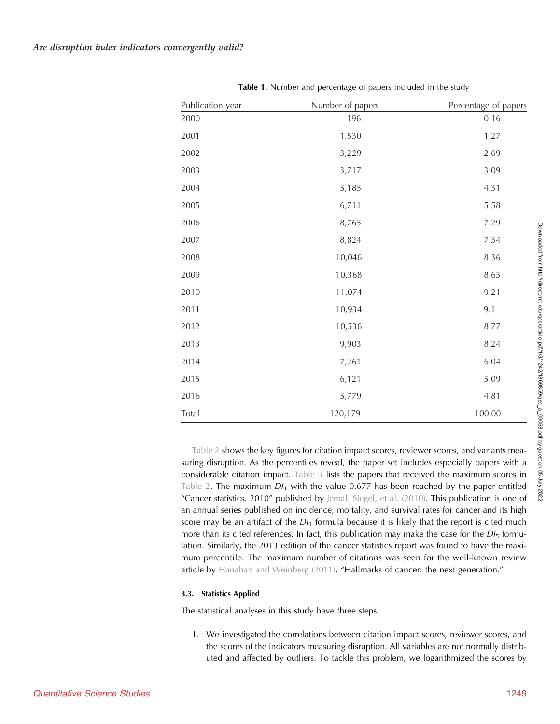<span id="page-7-0"></span>

| Publication year | Number of papers | Percentage of papers |
|------------------|------------------|----------------------|
| 2000             | 196              | 0.16                 |
| 2001             | 1,530            | 1.27                 |
| 2002             | 3,229            | 2.69                 |
| 2003             | 3,717            | 3.09                 |
| 2004             | 5,185            | 4.31                 |
| 2005             | 6,711            | 5.58                 |
| 2006             | 8,765            | 7.29                 |
| 2007             | 8,824            | 7.34                 |
| 2008             | 10,046           | 8.36                 |
| 2009             | 10,368           | 8.63                 |
| 2010             | 11,074           | 9.21                 |
| 2011             | 10,934           | 9.1                  |
| 2012             | 10,536           | 8.77                 |
| 2013             | 9,903            | 8.24                 |
| 2014             | 7,261            | 6.04                 |
| 2015             | 6,121            | 5.09                 |
| 2016             | 5,779            | 4.81                 |
| Total            | 120,179          | 100.00               |
|                  |                  |                      |

Table 1. Number and percentage of papers included in the study

[Table 2](#page-8-0) shows the key figures for citation impact scores, reviewer scores, and variants measuring disruption. As the percentiles reveal, the paper set includes especially papers with a considerable citation impact. [Table 3](#page-9-0) lists the papers that received the maximum scores in [Table 2.](#page-8-0) The maximum  $DI_1$  with the value 0.677 has been reached by the paper entitled "Cancer statistics, 2010" published by [Jemal, Siegel, et al. \(2010\)](#page-16-0). This publication is one of an annual series published on incidence, mortality, and survival rates for cancer and its high score may be an artifact of the  $DI_1$  formula because it is likely that the report is cited much more than its cited references. In fact, this publication may make the case for the  $DI<sub>5</sub>$  formulation. Similarly, the 2013 edition of the cancer statistics report was found to have the maximum percentile. The maximum number of citations was seen for the well-known review article by [Hanahan and Weinberg \(2011\),](#page-16-0) "Hallmarks of cancer: the next generation."

#### 3.3. Statistics Applied

The statistical analyses in this study have three steps:

1. We investigated the correlations between citation impact scores, reviewer scores, and the scores of the indicators measuring disruption. All variables are not normally distributed and affected by outliers. To tackle this problem, we logarithmized the scores by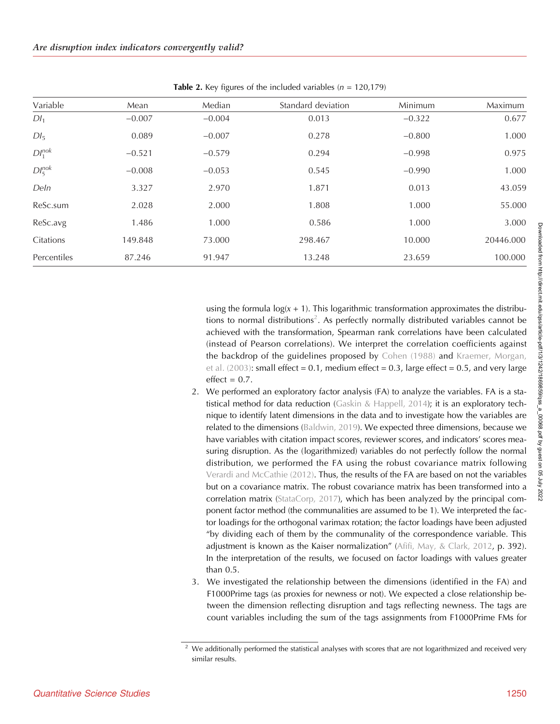<span id="page-8-0"></span>

| Variable        | Mean     | Median   | Standard deviation | Minimum  | Maximum   |
|-----------------|----------|----------|--------------------|----------|-----------|
| DI <sub>1</sub> | $-0.007$ | $-0.004$ | 0.013              | $-0.322$ | 0.677     |
| DI <sub>5</sub> | 0.089    | $-0.007$ | 0.278              | $-0.800$ | 1.000     |
| $DI_1^{nok}$    | $-0.521$ | $-0.579$ | 0.294              | $-0.998$ | 0.975     |
| $DI_5^{nok}$    | $-0.008$ | $-0.053$ | 0.545              | $-0.990$ | 1.000     |
| Deln            | 3.327    | 2.970    | 1.871              | 0.013    | 43.059    |
| ReSc.sum        | 2.028    | 2.000    | 1.808              | 1.000    | 55.000    |
| ReSc.avg        | 1.486    | 1.000    | 0.586              | 1.000    | 3.000     |
| Citations       | 149.848  | 73.000   | 298.467            | 10.000   | 20446.000 |
| Percentiles     | 87.246   | 91.947   | 13.248             | 23.659   | 100.000   |

**Table 2.** Key figures of the included variables ( $n = 120,179$ )

using the formula  $log(x + 1)$ . This logarithmic transformation approximates the distributions to normal distributions<sup>2</sup>. As perfectly normally distributed variables cannot be achieved with the transformation, Spearman rank correlations have been calculated (instead of Pearson correlations). We interpret the correlation coefficients against the backdrop of the guidelines proposed by [Cohen \(1988\)](#page-16-0) and [Kraemer, Morgan,](#page-17-0) [et al. \(2003\):](#page-17-0) small effect =  $0.1$ , medium effect =  $0.3$ , large effect =  $0.5$ , and very large  $effect = 0.7$ .

- 2. We performed an exploratory factor analysis (FA) to analyze the variables. FA is a statistical method for data reduction [\(Gaskin & Happell, 2014\)](#page-16-0); it is an exploratory technique to identify latent dimensions in the data and to investigate how the variables are related to the dimensions ([Baldwin, 2019](#page-16-0)). We expected three dimensions, because we have variables with citation impact scores, reviewer scores, and indicators' scores measuring disruption. As the (logarithmized) variables do not perfectly follow the normal distribution, we performed the FA using the robust covariance matrix following [Verardi and McCathie \(2012\)](#page-17-0). Thus, the results of the FA are based on not the variables but on a covariance matrix. The robust covariance matrix has been transformed into a correlation matrix ([StataCorp, 2017\)](#page-17-0), which has been analyzed by the principal component factor method (the communalities are assumed to be 1). We interpreted the factor loadings for the orthogonal varimax rotation; the factor loadings have been adjusted "by dividing each of them by the communality of the correspondence variable. This adjustment is known as the Kaiser normalization" [\(Afifi, May, & Clark, 2012](#page-16-0), p. 392). In the interpretation of the results, we focused on factor loadings with values greater than 0.5.
- 3. We investigated the relationship between the dimensions (identified in the FA) and F1000Prime tags (as proxies for newness or not). We expected a close relationship between the dimension reflecting disruption and tags reflecting newness. The tags are count variables including the sum of the tags assignments from F1000Prime FMs for

 $2$  We additionally performed the statistical analyses with scores that are not logarithmized and received very similar results.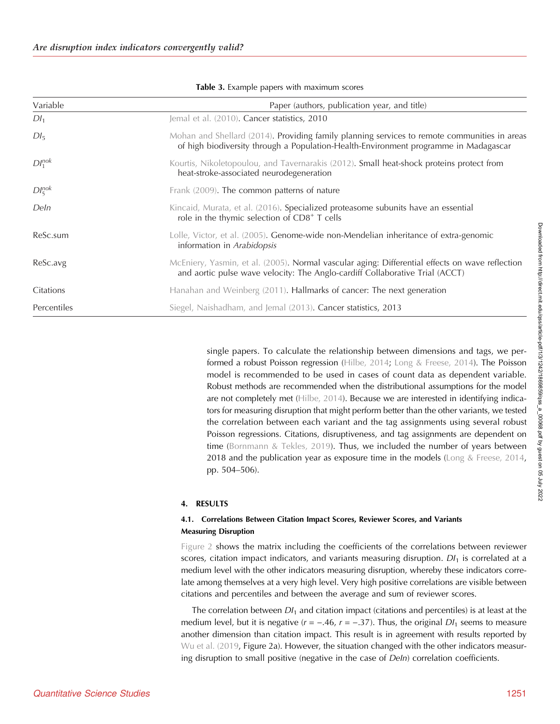<span id="page-9-0"></span>

| Variable        | Paper (authors, publication year, and title)                                                                                                                                         |  |  |  |  |
|-----------------|--------------------------------------------------------------------------------------------------------------------------------------------------------------------------------------|--|--|--|--|
| DI <sub>1</sub> | Jemal et al. (2010). Cancer statistics, 2010                                                                                                                                         |  |  |  |  |
| DI <sub>5</sub> | Mohan and Shellard (2014). Providing family planning services to remote communities in areas<br>of high biodiversity through a Population-Health-Environment programme in Madagascar |  |  |  |  |
| $DI_1^{nok}$    | Kourtis, Nikoletopoulou, and Tavernarakis (2012). Small heat-shock proteins protect from<br>heat-stroke-associated neurodegeneration                                                 |  |  |  |  |
| $DI_5^{nok}$    | Frank (2009). The common patterns of nature                                                                                                                                          |  |  |  |  |
| Deln            | Kincaid, Murata, et al. (2016). Specialized proteasome subunits have an essential<br>role in the thymic selection of CD8 <sup>+</sup> T cells                                        |  |  |  |  |
| ReSc.sum        | Lolle, Victor, et al. (2005). Genome-wide non-Mendelian inheritance of extra-genomic<br>information in Arabidopsis                                                                   |  |  |  |  |
| ReSc.avg        | McEniery, Yasmin, et al. (2005). Normal vascular aging: Differential effects on wave reflection<br>and aortic pulse wave velocity: The Anglo-cardiff Collaborative Trial (ACCT)      |  |  |  |  |
| Citations       | Hanahan and Weinberg (2011). Hallmarks of cancer: The next generation                                                                                                                |  |  |  |  |
| Percentiles     | Siegel, Naishadham, and Jemal (2013). Cancer statistics, 2013                                                                                                                        |  |  |  |  |

#### Table 3. Example papers with maximum scores

single papers. To calculate the relationship between dimensions and tags, we performed a robust Poisson regression [\(Hilbe, 2014](#page-16-0); [Long & Freese, 2014\)](#page-17-0). The Poisson model is recommended to be used in cases of count data as dependent variable. Robust methods are recommended when the distributional assumptions for the model are not completely met ([Hilbe, 2014\)](#page-16-0). Because we are interested in identifying indicators for measuring disruption that might perform better than the other variants, we tested the correlation between each variant and the tag assignments using several robust Poisson regressions. Citations, disruptiveness, and tag assignments are dependent on time (Bornmann  $\&$  Tekles, 2019). Thus, we included the number of years between 2018 and the publication year as exposure time in the models ([Long & Freese, 2014](#page-17-0), pp. 504–506).

#### 4. RESULTS

# 4.1. Correlations Between Citation Impact Scores, Reviewer Scores, and Variants Measuring Disruption

[Figure 2](#page-10-0) shows the matrix including the coefficients of the correlations between reviewer scores, citation impact indicators, and variants measuring disruption.  $DI_1$  is correlated at a medium level with the other indicators measuring disruption, whereby these indicators correlate among themselves at a very high level. Very high positive correlations are visible between citations and percentiles and between the average and sum of reviewer scores.

The correlation between  $DI_1$  and citation impact (citations and percentiles) is at least at the medium level, but it is negative ( $r = -.46$ ,  $r = -.37$ ). Thus, the original  $DI_1$  seems to measure another dimension than citation impact. This result is in agreement with results reported by [Wu et al. \(2019](#page-17-0), Figure 2a). However, the situation changed with the other indicators measuring disruption to small positive (negative in the case of DeIn) correlation coefficients.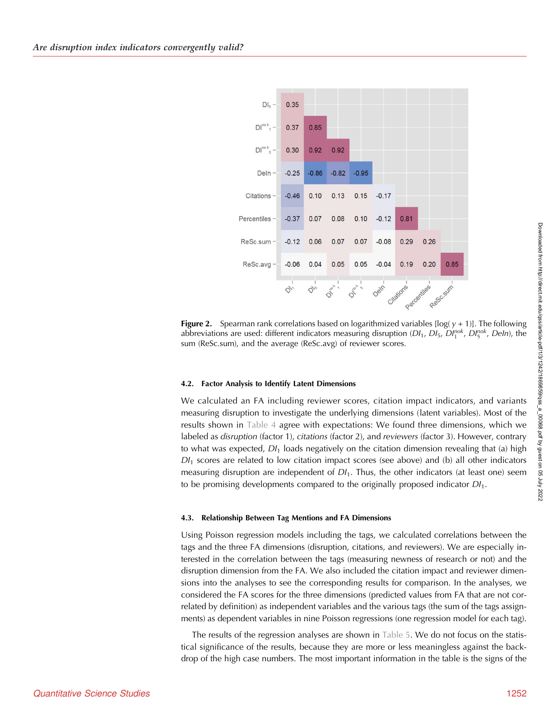<span id="page-10-0"></span>

**Figure 2.** Spearman rank correlations based on logarithmized variables  $\lceil \log(y + 1) \rceil$ . The following abbreviations are used: different indicators measuring disruption (DI<sub>1</sub>, DI<sub>5</sub>, DI $_1^{nok}$ , DI $_5^{nok}$ , DeIn), the sum (ReSc.sum), and the average (ReSc.avg) of reviewer scores.

#### 4.2. Factor Analysis to Identify Latent Dimensions

We calculated an FA including reviewer scores, citation impact indicators, and variants measuring disruption to investigate the underlying dimensions (latent variables). Most of the results shown in [Table 4](#page-11-0) agree with expectations: We found three dimensions, which we labeled as disruption (factor 1), citations (factor 2), and reviewers (factor 3). However, contrary to what was expected,  $DI_1$  loads negatively on the citation dimension revealing that (a) high  $DI<sub>1</sub>$  scores are related to low citation impact scores (see above) and (b) all other indicators measuring disruption are independent of  $DI_1$ . Thus, the other indicators (at least one) seem to be promising developments compared to the originally proposed indicator  $D_1$ .

#### 4.3. Relationship Between Tag Mentions and FA Dimensions

Using Poisson regression models including the tags, we calculated correlations between the tags and the three FA dimensions (disruption, citations, and reviewers). We are especially interested in the correlation between the tags (measuring newness of research or not) and the disruption dimension from the FA. We also included the citation impact and reviewer dimensions into the analyses to see the corresponding results for comparison. In the analyses, we considered the FA scores for the three dimensions (predicted values from FA that are not correlated by definition) as independent variables and the various tags (the sum of the tags assignments) as dependent variables in nine Poisson regressions (one regression model for each tag).

The results of the regression analyses are shown in [Table 5.](#page-12-0) We do not focus on the statistical significance of the results, because they are more or less meaningless against the backdrop of the high case numbers. The most important information in the table is the signs of the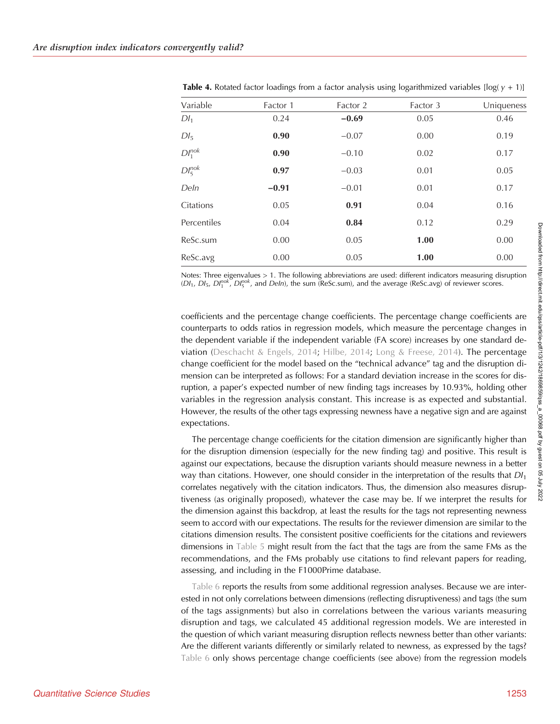| Variable        | Factor 1 | Factor 2 | Factor 3 | Uniqueness |
|-----------------|----------|----------|----------|------------|
| DI <sub>1</sub> | 0.24     | $-0.69$  | 0.05     | 0.46       |
| DI <sub>5</sub> | 0.90     | $-0.07$  | 0.00     | 0.19       |
| $DI_1^{nok}$    | 0.90     | $-0.10$  | 0.02     | 0.17       |
| $DI_5^{nok}$    | 0.97     | $-0.03$  | 0.01     | 0.05       |
| Deln            | $-0.91$  | $-0.01$  | 0.01     | 0.17       |
| Citations       | 0.05     | 0.91     | 0.04     | 0.16       |
| Percentiles     | 0.04     | 0.84     | 0.12     | 0.29       |
| ReSc.sum        | 0.00     | 0.05     | 1.00     | 0.00       |
| ReSc.avg        | 0.00     | 0.05     | 1.00     | 0.00       |

<span id="page-11-0"></span>**Table 4.** Rotated factor loadings from a factor analysis using logarithmized variables  $\log(y + 1)$ ]

Notes: Three eigenvalues > 1. The following abbreviations are used: different indicators measuring disruption (DI<sub>1</sub>, DI<sub>5</sub>, DI<sup>nok</sup>, DI<sup>nok</sup>, and DeIn), the sum (ReSc.sum), and the average (ReSc.avg) of reviewer scores.

coefficients and the percentage change coefficients. The percentage change coefficients are counterparts to odds ratios in regression models, which measure the percentage changes in the dependent variable if the independent variable (FA score) increases by one standard deviation [\(Deschacht & Engels, 2014](#page-16-0); [Hilbe, 2014;](#page-16-0) [Long & Freese, 2014](#page-17-0)). The percentage change coefficient for the model based on the "technical advance" tag and the disruption dimension can be interpreted as follows: For a standard deviation increase in the scores for disruption, a paper's expected number of new finding tags increases by 10.93%, holding other variables in the regression analysis constant. This increase is as expected and substantial. However, the results of the other tags expressing newness have a negative sign and are against expectations.

The percentage change coefficients for the citation dimension are significantly higher than for the disruption dimension (especially for the new finding tag) and positive. This result is against our expectations, because the disruption variants should measure newness in a better way than citations. However, one should consider in the interpretation of the results that  $D_1$ correlates negatively with the citation indicators. Thus, the dimension also measures disruptiveness (as originally proposed), whatever the case may be. If we interpret the results for the dimension against this backdrop, at least the results for the tags not representing newness seem to accord with our expectations. The results for the reviewer dimension are similar to the citations dimension results. The consistent positive coefficients for the citations and reviewers dimensions in [Table 5](#page-12-0) might result from the fact that the tags are from the same FMs as the recommendations, and the FMs probably use citations to find relevant papers for reading, assessing, and including in the F1000Prime database.

[Table 6](#page-13-0) reports the results from some additional regression analyses. Because we are interested in not only correlations between dimensions (reflecting disruptiveness) and tags (the sum of the tags assignments) but also in correlations between the various variants measuring disruption and tags, we calculated 45 additional regression models. We are interested in the question of which variant measuring disruption reflects newness better than other variants: Are the different variants differently or similarly related to newness, as expressed by the tags? [Table 6](#page-13-0) only shows percentage change coefficients (see above) from the regression models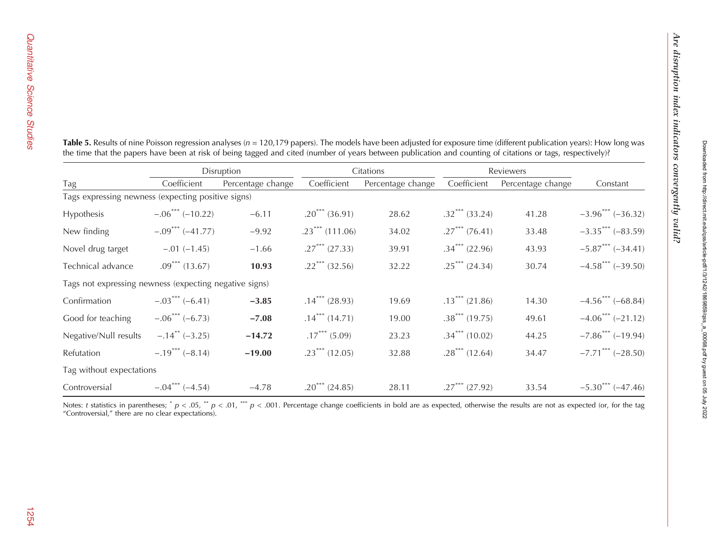Are disruption index indicators convergently valid?

Are disruption index indicators convergently valid?

|                                                        |                                | Disruption        | Citations         |                   | Reviewers        |                   |                                 |
|--------------------------------------------------------|--------------------------------|-------------------|-------------------|-------------------|------------------|-------------------|---------------------------------|
| Tag                                                    | Coefficient                    | Percentage change | Coefficient       | Percentage change | Coefficient      | Percentage change | Constant                        |
| Tags expressing newness (expecting positive signs)     |                                |                   |                   |                   |                  |                   |                                 |
| Hypothesis                                             | $-.06***(-10.22)$              | $-6.11$           | $.20***$ (36.91)  | 28.62             | $.32***$ (33.24) | 41.28             | $-3.96$ *** (-36.32)            |
| New finding                                            | $-.09***(-41.77)$              | $-9.92$           | $.23***$ (111.06) | 34.02             | $.27***$ (76.41) | 33.48             | $-3.35***(-83.59)$              |
| Novel drug target                                      | $-.01(-1.45)$                  | $-1.66$           | $.27***$ (27.33)  | 39.91             | $.34***$ (22.96) | 43.93             | $-5.87***(-34.41)$              |
| Technical advance                                      | $.09***$ (13.67)               | 10.93             | $.22***$ (32.56)  | 32.22             | $.25***$ (24.34) | 30.74             | $-4.58$ <sup>***</sup> (-39.50) |
| Tags not expressing newness (expecting negative signs) |                                |                   |                   |                   |                  |                   |                                 |
| Confirmation                                           | $-.03***(-6.41)$               | $-3.85$           | $.14***$ (28.93)  | 19.69             | $.13***$ (21.86) | 14.30             | $-4.56$ <sup>***</sup> (-68.84) |
| Good for teaching                                      | $-.06***(-6.73)$               | $-7.08$           | $.14***$ (14.71)  | 19.00             | $.38***$ (19.75) | 49.61             | $-4.06***(-21.12)$              |
| Negative/Null results                                  | $-.14$ <sup>**</sup> $(-3.25)$ | $-14.72$          | $.17***$ (5.09)   | 23.23             | $.34***$ (10.02) | 44.25             | $-7.86$ <sup>***</sup> (-19.94) |
| Refutation                                             | $-.19***(-8.14)$               | $-19.00$          | $.23***$ (12.05)  | 32.88             | $.28***$ (12.64) | 34.47             | $-7.71***$ $(-28.50)$           |
| Tag without expectations                               |                                |                   |                   |                   |                  |                   |                                 |
| Controversial                                          | $-.04***(-4.54)$               | $-4.78$           | $.20***$ (24.85)  | 28.11             | $.27***$ (27.92) | 33.54             | $-5.30*** (-47.46)$             |

<span id="page-12-0"></span>**Table 5.** Results of nine Poisson regression analyses (*n* = 120,179 papers). The models have been adjusted for exposure time (different publication years): How long was the time that the papers have been at risk of being tagged and cited (number of years between publication and counting of citations or tags, respectively)?

Notes: t statistics in parentheses; \*  $p < .05$ , \*\*  $p < .01$ , \*\*\*  $p < .001$ . Percentage change coefficients in bold are as expected, otherwise the results are not as expected (or, for the tag "Controversial," there are no clear expectations).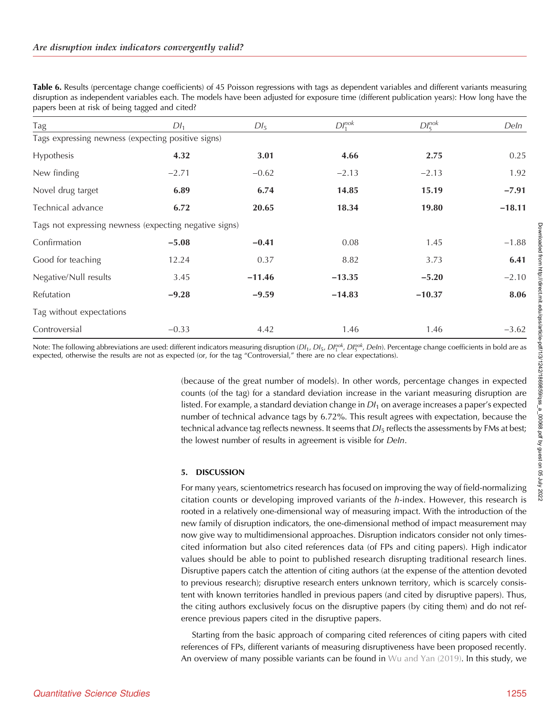| Tag                                                    | DI <sub>1</sub> | DI <sub>5</sub> | $DI_1^{nok}$ | $DI_{5}^{nok}$ | Deln     |
|--------------------------------------------------------|-----------------|-----------------|--------------|----------------|----------|
| Tags expressing newness (expecting positive signs)     |                 |                 |              |                |          |
| Hypothesis                                             | 4.32            | 3.01            | 4.66         | 2.75           | 0.25     |
| New finding                                            | $-2.71$         | $-0.62$         | $-2.13$      | $-2.13$        | 1.92     |
| Novel drug target                                      | 6.89            | 6.74            | 14.85        | 15.19          | $-7.91$  |
| Technical advance                                      | 6.72            | 20.65           | 18.34        | 19.80          | $-18.11$ |
| Tags not expressing newness (expecting negative signs) |                 |                 |              |                |          |
| Confirmation                                           | $-5.08$         | $-0.41$         | 0.08         | 1.45           | $-1.88$  |
| Good for teaching                                      | 12.24           | 0.37            | 8.82         | 3.73           | 6.41     |
| Negative/Null results                                  | 3.45            | $-11.46$        | $-13.35$     | $-5.20$        | $-2.10$  |
| Refutation                                             | $-9.28$         | $-9.59$         | $-14.83$     | $-10.37$       | 8.06     |
| Tag without expectations                               |                 |                 |              |                |          |
| Controversial                                          | $-0.33$         | 4.42            | 1.46         | 1.46           | $-3.62$  |

<span id="page-13-0"></span>Table 6. Results (percentage change coefficients) of 45 Poisson regressions with tags as dependent variables and different variants measuring disruption as independent variables each. The models have been adjusted for exposure time (different publication years): How long have the papers been at risk of being tagged and cited?

Note: The following abbreviations are used: different indicators measuring disruption (DI<sub>1</sub>, DI<sub>5</sub>, DI<sup>nok</sup>, DI<sup>nok</sup>, DeIn). Percentage change coefficients in bold are as expected, otherwise the results are not as expected (or, for the tag "Controversial," there are no clear expectations).

> (because of the great number of models). In other words, percentage changes in expected counts (of the tag) for a standard deviation increase in the variant measuring disruption are listed. For example, a standard deviation change in  $DI<sub>1</sub>$  on average increases a paper's expected number of technical advance tags by 6.72%. This result agrees with expectation, because the technical advance tag reflects newness. It seems that  $DI_5$  reflects the assessments by FMs at best; the lowest number of results in agreement is visible for DeIn.

# 5. DISCUSSION

For many years, scientometrics research has focused on improving the way of field-normalizing citation counts or developing improved variants of the h-index. However, this research is rooted in a relatively one-dimensional way of measuring impact. With the introduction of the new family of disruption indicators, the one-dimensional method of impact measurement may now give way to multidimensional approaches. Disruption indicators consider not only timescited information but also cited references data (of FPs and citing papers). High indicator values should be able to point to published research disrupting traditional research lines. Disruptive papers catch the attention of citing authors (at the expense of the attention devoted to previous research); disruptive research enters unknown territory, which is scarcely consistent with known territories handled in previous papers (and cited by disruptive papers). Thus, the citing authors exclusively focus on the disruptive papers (by citing them) and do not reference previous papers cited in the disruptive papers.

Starting from the basic approach of comparing cited references of citing papers with cited references of FPs, different variants of measuring disruptiveness have been proposed recently. An overview of many possible variants can be found in [Wu and Yan \(2019\).](#page-17-0) In this study, we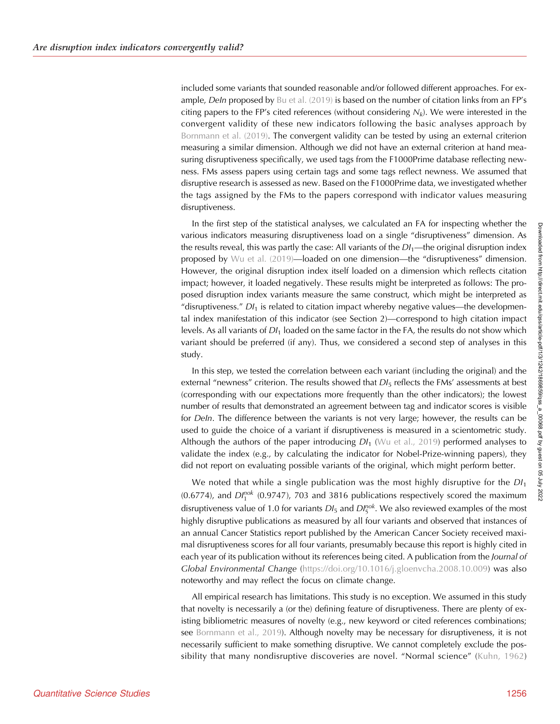included some variants that sounded reasonable and/or followed different approaches. For example, DeIn proposed by Bu et al.  $(2019)$  is based on the number of citation links from an FP's citing papers to the FP's cited references (without considering  $N_k$ ). We were interested in the convergent validity of these new indicators following the basic analyses approach by [Bornmann et al. \(2019\).](#page-16-0) The convergent validity can be tested by using an external criterion measuring a similar dimension. Although we did not have an external criterion at hand measuring disruptiveness specifically, we used tags from the F1000Prime database reflecting newness. FMs assess papers using certain tags and some tags reflect newness. We assumed that disruptive research is assessed as new. Based on the F1000Prime data, we investigated whether the tags assigned by the FMs to the papers correspond with indicator values measuring disruptiveness.

In the first step of the statistical analyses, we calculated an FA for inspecting whether the various indicators measuring disruptiveness load on a single "disruptiveness" dimension. As the results reveal, this was partly the case: All variants of the  $D_1$ —the original disruption index proposed by [Wu et al. \(2019\)](#page-17-0)—loaded on one dimension—the "disruptiveness" dimension. However, the original disruption index itself loaded on a dimension which reflects citation impact; however, it loaded negatively. These results might be interpreted as follows: The proposed disruption index variants measure the same construct, which might be interpreted as "disruptiveness."  $DI_1$  is related to citation impact whereby negative values—the developmental index manifestation of this indicator (see Section 2)—correspond to high citation impact levels. As all variants of  $DI_1$  loaded on the same factor in the FA, the results do not show which variant should be preferred (if any). Thus, we considered a second step of analyses in this study.

In this step, we tested the correlation between each variant (including the original) and the external "newness" criterion. The results showed that  $DI_5$  reflects the FMs' assessments at best (corresponding with our expectations more frequently than the other indicators); the lowest number of results that demonstrated an agreement between tag and indicator scores is visible for DeIn. The difference between the variants is not very large; however, the results can be used to guide the choice of a variant if disruptiveness is measured in a scientometric study. Although the authors of the paper introducing  $DI_1$  ([Wu et al., 2019\)](#page-17-0) performed analyses to validate the index (e.g., by calculating the indicator for Nobel-Prize-winning papers), they did not report on evaluating possible variants of the original, which might perform better.

We noted that while a single publication was the most highly disruptive for the  $DI_1$  $(0.6774)$ , and  $D_1^{nok}$   $(0.9747)$ , 703 and 3816 publications respectively scored the maximum disruptiveness value of 1.0 for variants  $Dl_5$  and  $Dl_5^{nok}$ . We also reviewed examples of the most highly disruptive publications as measured by all four variants and observed that instances of an annual Cancer Statistics report published by the American Cancer Society received maximal disruptiveness scores for all four variants, presumably because this report is highly cited in each year of its publication without its references being cited. A publication from the *Journal of* Global Environmental Change (<https://doi.org/10.1016/j.gloenvcha.2008.10.009>) was also noteworthy and may reflect the focus on climate change.

All empirical research has limitations. This study is no exception. We assumed in this study that novelty is necessarily a (or the) defining feature of disruptiveness. There are plenty of existing bibliometric measures of novelty (e.g., new keyword or cited references combinations; see [Bornmann et al., 2019\)](#page-16-0). Although novelty may be necessary for disruptiveness, it is not necessarily sufficient to make something disruptive. We cannot completely exclude the possibility that many nondisruptive discoveries are novel. "Normal science" [\(Kuhn, 1962](#page-17-0))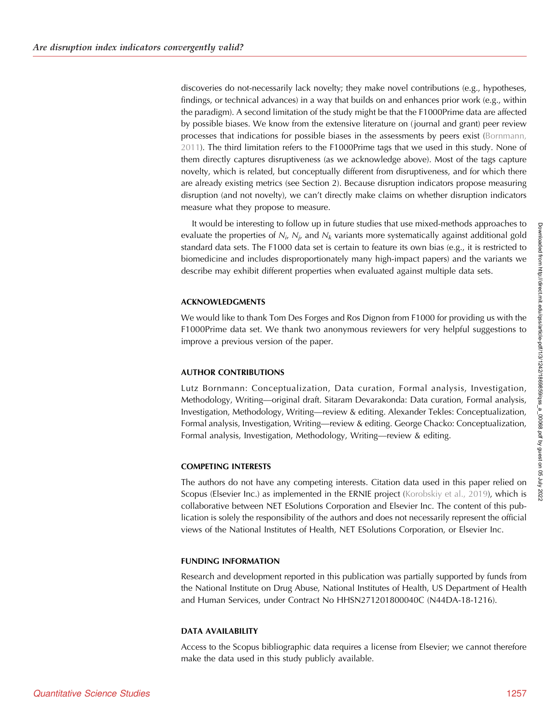discoveries do not-necessarily lack novelty; they make novel contributions (e.g., hypotheses, findings, or technical advances) in a way that builds on and enhances prior work (e.g., within the paradigm). A second limitation of the study might be that the F1000Prime data are affected by possible biases. We know from the extensive literature on (journal and grant) peer review processes that indications for possible biases in the assessments by peers exist ([Bornmann,](#page-16-0) [2011\)](#page-16-0). The third limitation refers to the F1000Prime tags that we used in this study. None of them directly captures disruptiveness (as we acknowledge above). Most of the tags capture novelty, which is related, but conceptually different from disruptiveness, and for which there are already existing metrics (see Section 2). Because disruption indicators propose measuring disruption (and not novelty), we can't directly make claims on whether disruption indicators measure what they propose to measure.

It would be interesting to follow up in future studies that use mixed-methods approaches to evaluate the properties of  $N_{i}$ ,  $N_{j}$ , and  $N_{k}$  variants more systematically against additional gold standard data sets. The F1000 data set is certain to feature its own bias (e.g., it is restricted to biomedicine and includes disproportionately many high-impact papers) and the variants we describe may exhibit different properties when evaluated against multiple data sets.

# ACKNOWLEDGMENTS

We would like to thank Tom Des Forges and Ros Dignon from F1000 for providing us with the F1000Prime data set. We thank two anonymous reviewers for very helpful suggestions to improve a previous version of the paper.

# AUTHOR CONTRIBUTIONS

Lutz Bornmann: Conceptualization, Data curation, Formal analysis, Investigation, Methodology, Writing—original draft. Sitaram Devarakonda: Data curation, Formal analysis, Investigation, Methodology, Writing—review & editing. Alexander Tekles: Conceptualization, Formal analysis, Investigation, Writing—review & editing. George Chacko: Conceptualization, Formal analysis, Investigation, Methodology, Writing—review & editing.

# COMPETING INTERESTS

The authors do not have any competing interests. Citation data used in this paper relied on Scopus (Elsevier Inc.) as implemented in the ERNIE project [\(Korobskiy et al., 2019](#page-16-0)), which is collaborative between NET ESolutions Corporation and Elsevier Inc. The content of this publication is solely the responsibility of the authors and does not necessarily represent the official views of the National Institutes of Health, NET ESolutions Corporation, or Elsevier Inc.

# FUNDING INFORMATION

Research and development reported in this publication was partially supported by funds from the National Institute on Drug Abuse, National Institutes of Health, US Department of Health and Human Services, under Contract No HHSN271201800040C (N44DA-18-1216).

#### DATA AVAILABILITY

Access to the Scopus bibliographic data requires a license from Elsevier; we cannot therefore make the data used in this study publicly available.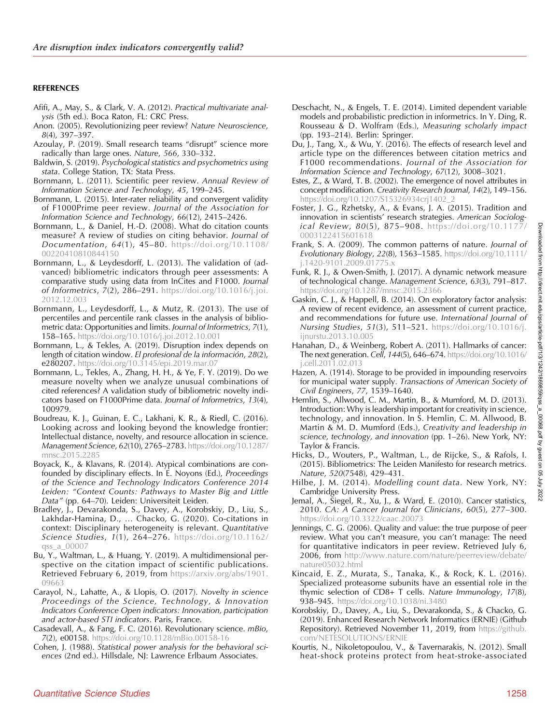#### <span id="page-16-0"></span>REFERENCES

- Afifi, A., May, S., & Clark, V. A. (2012). Practical multivariate analysis (5th ed.). Boca Raton, FL: CRC Press.
- Anon. (2005). Revolutionizing peer review? Nature Neuroscience, 8(4), 397–397.
- Azoulay, P. (2019). Small research teams "disrupt" science more radically than large ones. Nature, 566, 330–332.
- Baldwin, S. (2019). Psychological statistics and psychometrics using stata. College Station, TX: Stata Press.
- Bornmann, L. (2011). Scientific peer review. Annual Review of Information Science and Technology, 45, 199–245.
- Bornmann, L. (2015). Inter-rater reliability and convergent validity of F1000Prime peer review. Journal of the Association for Information Science and Technology, 66(12), 2415–2426.
- Bornmann, L., & Daniel, H.-D. (2008). What do citation counts measure? A review of studies on citing behavior. Journal of Documentation, 64(1), 45–80. [https://doi.org/10.1108/](https://doi.org/10.1108/00220410810844150) [00220410810844150](https://doi.org/10.1108/00220410810844150)
- Bornmann, L., & Leydesdorff, L. (2013). The validation of (advanced) bibliometric indicators through peer assessments: A comparative study using data from InCites and F1000. Journal of Informetrics, 7(2), 286–291. [https://doi.org/10.1016/j.joi.](https://doi.org/10.1016/j.joi.2012.12.003) [2012.12.003](https://doi.org/10.1016/j.joi.2012.12.003)
- Bornmann, L., Leydesdorff, L., & Mutz, R. (2013). The use of percentiles and percentile rank classes in the analysis of bibliometric data: Opportunities and limits. Journal of Informetrics, 7(1), 158–165. <https://doi.org/10.1016/j.joi.2012.10.001>
- Bornmann, L., & Tekles, A. (2019). Disruption index depends on length of citation window. El profesional de la información, 28(2), e280207. <https://doi.org/10.3145/epi.2019.mar.07>
- Bornmann, L., Tekles, A., Zhang, H. H., & Ye, F. Y. (2019). Do we measure novelty when we analyze unusual combinations of cited references? A validation study of bibliometric novelty indicators based on F1000Prime data. Journal of Informetrics, 13(4), 100979.
- Boudreau, K. J., Guinan, E. C., Lakhani, K. R., & Riedl, C. (2016). Looking across and looking beyond the knowledge frontier: Intellectual distance, novelty, and resource allocation in science. Management Science, 62(10), 2765–2783. [https://doi.org/10.1287/](https://doi.org/10.1287/mnsc.2015.2285) [mnsc.2015.2285](https://doi.org/10.1287/mnsc.2015.2285)
- Boyack, K., & Klavans, R. (2014). Atypical combinations are confounded by disciplinary effects. In E. Noyons (Ed.), Proceedings of the Science and Technology Indicators Conference 2014 Leiden: "Context Counts: Pathways to Master Big and Little Data" (pp. 64–70). Leiden: Universiteit Leiden.
- Bradley, J., Devarakonda, S., Davey, A., Korobskiy, D., Liu, S., Lakhdar-Hamina, D., … Chacko, G. (2020). Co-citations in context: Disciplinary heterogeneity is relevant. Quantitative Science Studies, 1(1), 264–276. [https://doi.org/10.1162/](https://doi.org/10.1162/qss_a_00007) [qss\\_a\\_00007](https://doi.org/10.1162/qss_a_00007)
- Bu, Y., Waltman, L., & Huang, Y. (2019). A multidimensional perspective on the citation impact of scientific publications. Retrieved February 6, 2019, from [https://arxiv.org/abs/1901.](https://arxiv.org/abs/1901.09663) [09663](https://arxiv.org/abs/1901.09663)
- Carayol, N., Lahatte, A., & Llopis, O. (2017). Novelty in science Proceedings of the Science, Technology, & Innovation Indicators Conference Open indicators: Innovation, participation and actor-based STI indicators. Paris, France.
- Casadevall, A., & Fang, F. C. (2016). Revolutionary science. mBio, 7(2), e00158. <https://doi.org/10.1128/mBio.00158-16>
- Cohen, J. (1988). Statistical power analysis for the behavioral sciences (2nd ed.). Hillsdale, NJ: Lawrence Erlbaum Associates.
- Deschacht, N., & Engels, T. E. (2014). Limited dependent variable models and probabilistic prediction in informetrics. In Y. Ding, R. Rousseau & D. Wolfram (Eds.), Measuring scholarly impact (pp. 193–214). Berlin: Springer.
- Du, J., Tang, X., & Wu, Y. (2016). The effects of research level and article type on the differences between citation metrics and F1000 recommendations. Journal of the Association for Information Science and Technology, 67(12), 3008–3021.
- Estes, Z., & Ward, T. B. (2002). The emergence of novel attributes in concept modification. Creativity Research Journal, 14(2), 149–156. [https://doi.org/10.1207/S15326934crj1402\\_2](https://doi.org/10.1207/S15326934crj1402_2)
- Foster, J. G., Rzhetsky, A., & Evans, J. A. (2015). Tradition and innovation in scientists' research strategies. American Sociological Review, 80(5), 875–908. [https://doi.org/10.1177/](https://doi.org/10.1177/0003122415601618) [0003122415601618](https://doi.org/10.1177/0003122415601618)
- Frank, S. A. (2009). The common patterns of nature. Journal of Evolutionary Biology, 22(8), 1563–1585. [https://doi.org/10.1111/](https://doi.org/10.1111/j.1420-9101.2009.01775.x) [j.1420-9101.2009.01775.x](https://doi.org/10.1111/j.1420-9101.2009.01775.x)
- Funk, R. J., & Owen-Smith, J. (2017). A dynamic network measure of technological change. Management Science, 63(3), 791–817. <https://doi.org/10.1287/mnsc.2015.2366>
- Gaskin, C. J., & Happell, B. (2014). On exploratory factor analysis: A review of recent evidence, an assessment of current practice, and recommendations for future use. International Journal of Nursing Studies, 51(3), 511–521. [https://doi.org/10.1016/j.](https://doi.org/10.1016/j.ijnurstu.2013.10.005) [ijnurstu.2013.10.005](https://doi.org/10.1016/j.ijnurstu.2013.10.005)
- Hanahan, D., & Weinberg, Robert A. (2011). Hallmarks of cancer: The next generation. Cell, 144(5), 646–674. [https://doi.org/10.1016/](https://doi.org/10.1016/j.cell.2011.02.013) [j.cell.2011.02.013](https://doi.org/10.1016/j.cell.2011.02.013)
- Hazen, A. (1914). Storage to be provided in impounding reservoirs for municipal water supply. Transactions of American Society of Civil Engineers, 77, 1539–1640.
- Hemlin, S., Allwood, C. M., Martin, B., & Mumford, M. D. (2013). Introduction: Why is leadership important for creativity in science, technology, and innovation. In S. Hemlin, C. M. Allwood, B. Martin & M. D. Mumford (Eds.), Creativity and leadership in science, technology, and innovation (pp. 1–26). New York, NY: Taylor & Francis.
- Hicks, D., Wouters, P., Waltman, L., de Rijcke, S., & Rafols, I. (2015). Bibliometrics: The Leiden Manifesto for research metrics. Nature, 520(7548), 429–431.
- Hilbe, J. M. (2014). Modelling count data. New York, NY: Cambridge University Press.
- Jemal, A., Siegel, R., Xu, J., & Ward, E. (2010). Cancer statistics, 2010. CA: A Cancer Journal for Clinicians, 60(5), 277–300. <https://doi.org/10.3322/caac.20073>
- Jennings, C. G. (2006). Quality and value: the true purpose of peer review. What you can't measure, you can't manage: The need for quantitative indicators in peer review. Retrieved July 6, 2006, from [http://www.nature.com/nature/peerreview/debate/](http://www.nature.com/nature/peerreview/debate/nature05032.html) [nature05032.html](http://www.nature.com/nature/peerreview/debate/nature05032.html)
- Kincaid, E. Z., Murata, S., Tanaka, K., & Rock, K. L. (2016). Specialized proteasome subunits have an essential role in the thymic selection of CD8+ T cells. Nature Immunology, 17(8), 938–945. <https://doi.org/10.1038/ni.3480>
- Korobskiy, D., Davey, A., Liu, S., Devarakonda, S., & Chacko, G. (2019). Enhanced Research Network Informatics (ERNIE) (Github Repository). Retrieved November 11, 2019, from [https://github.](https://github.com/NETESOLUTIONS/ERNIE) [com/NETESOLUTIONS/ERNIE](https://github.com/NETESOLUTIONS/ERNIE)
- Kourtis, N., Nikoletopoulou, V., & Tavernarakis, N. (2012). Small heat-shock proteins protect from heat-stroke-associated